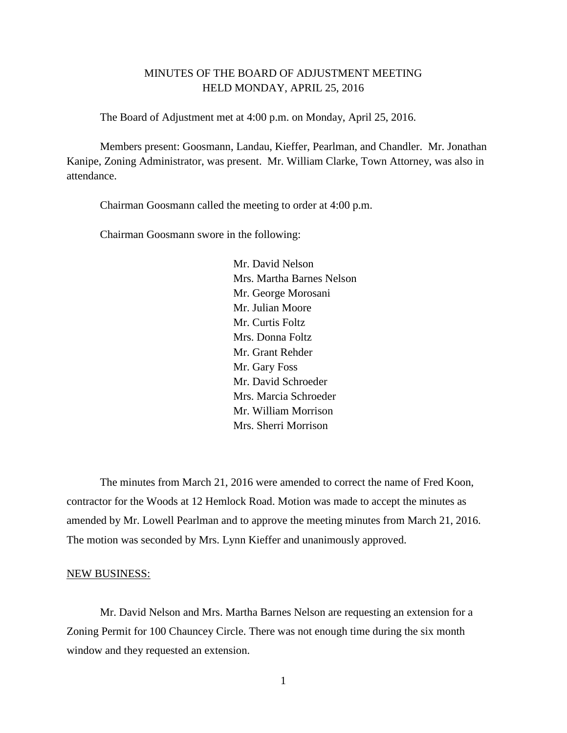# MINUTES OF THE BOARD OF ADJUSTMENT MEETING HELD MONDAY, APRIL 25, 2016

The Board of Adjustment met at 4:00 p.m. on Monday, April 25, 2016.

Members present: Goosmann, Landau, Kieffer, Pearlman, and Chandler. Mr. Jonathan Kanipe, Zoning Administrator, was present. Mr. William Clarke, Town Attorney, was also in attendance.

Chairman Goosmann called the meeting to order at 4:00 p.m.

Chairman Goosmann swore in the following:

Mr. David Nelson Mrs. Martha Barnes Nelson Mr. George Morosani Mr. Julian Moore Mr. Curtis Foltz Mrs. Donna Foltz Mr. Grant Rehder Mr. Gary Foss Mr. David Schroeder Mrs. Marcia Schroeder Mr. William Morrison Mrs. Sherri Morrison

The minutes from March 21, 2016 were amended to correct the name of Fred Koon, contractor for the Woods at 12 Hemlock Road. Motion was made to accept the minutes as amended by Mr. Lowell Pearlman and to approve the meeting minutes from March 21, 2016. The motion was seconded by Mrs. Lynn Kieffer and unanimously approved.

#### NEW BUSINESS:

Mr. David Nelson and Mrs. Martha Barnes Nelson are requesting an extension for a Zoning Permit for 100 Chauncey Circle. There was not enough time during the six month window and they requested an extension.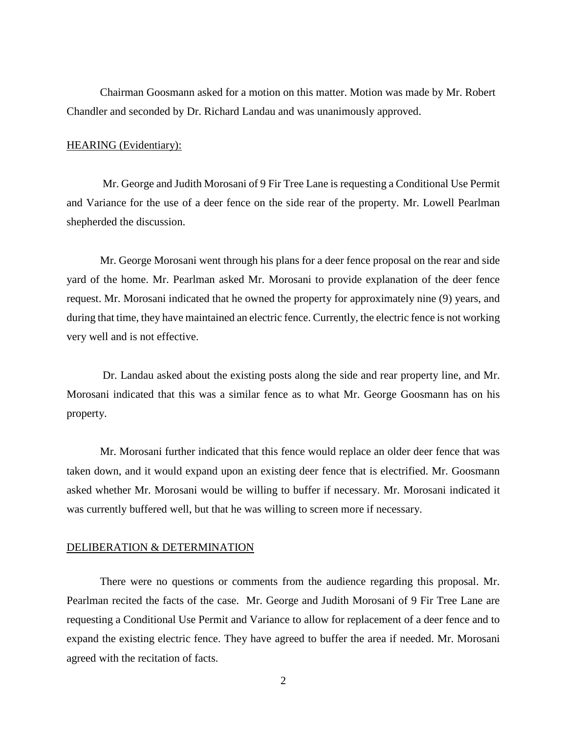Chairman Goosmann asked for a motion on this matter. Motion was made by Mr. Robert Chandler and seconded by Dr. Richard Landau and was unanimously approved.

## HEARING (Evidentiary):

Mr. George and Judith Morosani of 9 Fir Tree Lane is requesting a Conditional Use Permit and Variance for the use of a deer fence on the side rear of the property. Mr. Lowell Pearlman shepherded the discussion.

Mr. George Morosani went through his plans for a deer fence proposal on the rear and side yard of the home. Mr. Pearlman asked Mr. Morosani to provide explanation of the deer fence request. Mr. Morosani indicated that he owned the property for approximately nine (9) years, and during that time, they have maintained an electric fence. Currently, the electric fence is not working very well and is not effective.

Dr. Landau asked about the existing posts along the side and rear property line, and Mr. Morosani indicated that this was a similar fence as to what Mr. George Goosmann has on his property.

Mr. Morosani further indicated that this fence would replace an older deer fence that was taken down, and it would expand upon an existing deer fence that is electrified. Mr. Goosmann asked whether Mr. Morosani would be willing to buffer if necessary. Mr. Morosani indicated it was currently buffered well, but that he was willing to screen more if necessary.

#### DELIBERATION & DETERMINATION

There were no questions or comments from the audience regarding this proposal. Mr. Pearlman recited the facts of the case. Mr. George and Judith Morosani of 9 Fir Tree Lane are requesting a Conditional Use Permit and Variance to allow for replacement of a deer fence and to expand the existing electric fence. They have agreed to buffer the area if needed. Mr. Morosani agreed with the recitation of facts.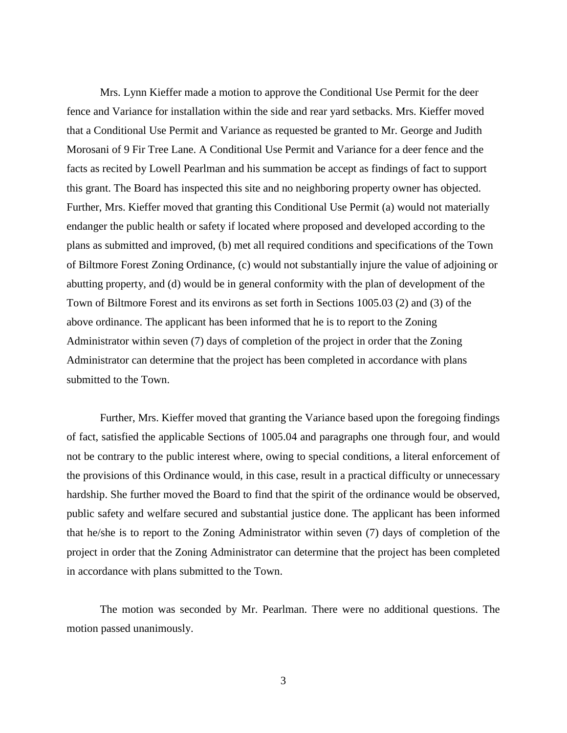Mrs. Lynn Kieffer made a motion to approve the Conditional Use Permit for the deer fence and Variance for installation within the side and rear yard setbacks. Mrs. Kieffer moved that a Conditional Use Permit and Variance as requested be granted to Mr. George and Judith Morosani of 9 Fir Tree Lane. A Conditional Use Permit and Variance for a deer fence and the facts as recited by Lowell Pearlman and his summation be accept as findings of fact to support this grant. The Board has inspected this site and no neighboring property owner has objected. Further, Mrs. Kieffer moved that granting this Conditional Use Permit (a) would not materially endanger the public health or safety if located where proposed and developed according to the plans as submitted and improved, (b) met all required conditions and specifications of the Town of Biltmore Forest Zoning Ordinance, (c) would not substantially injure the value of adjoining or abutting property, and (d) would be in general conformity with the plan of development of the Town of Biltmore Forest and its environs as set forth in Sections 1005.03 (2) and (3) of the above ordinance. The applicant has been informed that he is to report to the Zoning Administrator within seven (7) days of completion of the project in order that the Zoning Administrator can determine that the project has been completed in accordance with plans submitted to the Town.

Further, Mrs. Kieffer moved that granting the Variance based upon the foregoing findings of fact, satisfied the applicable Sections of 1005.04 and paragraphs one through four, and would not be contrary to the public interest where, owing to special conditions, a literal enforcement of the provisions of this Ordinance would, in this case, result in a practical difficulty or unnecessary hardship. She further moved the Board to find that the spirit of the ordinance would be observed, public safety and welfare secured and substantial justice done. The applicant has been informed that he/she is to report to the Zoning Administrator within seven (7) days of completion of the project in order that the Zoning Administrator can determine that the project has been completed in accordance with plans submitted to the Town.

The motion was seconded by Mr. Pearlman. There were no additional questions. The motion passed unanimously.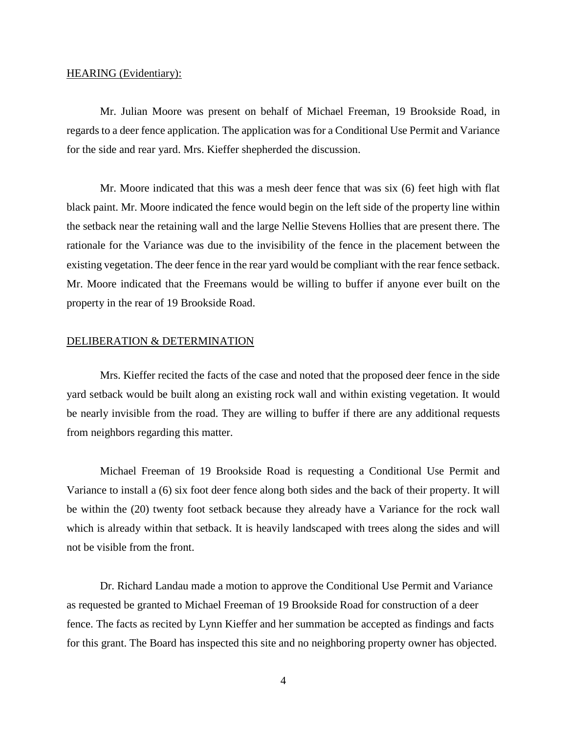## HEARING (Evidentiary):

Mr. Julian Moore was present on behalf of Michael Freeman, 19 Brookside Road, in regards to a deer fence application. The application was for a Conditional Use Permit and Variance for the side and rear yard. Mrs. Kieffer shepherded the discussion.

Mr. Moore indicated that this was a mesh deer fence that was six (6) feet high with flat black paint. Mr. Moore indicated the fence would begin on the left side of the property line within the setback near the retaining wall and the large Nellie Stevens Hollies that are present there. The rationale for the Variance was due to the invisibility of the fence in the placement between the existing vegetation. The deer fence in the rear yard would be compliant with the rear fence setback. Mr. Moore indicated that the Freemans would be willing to buffer if anyone ever built on the property in the rear of 19 Brookside Road.

#### DELIBERATION & DETERMINATION

Mrs. Kieffer recited the facts of the case and noted that the proposed deer fence in the side yard setback would be built along an existing rock wall and within existing vegetation. It would be nearly invisible from the road. They are willing to buffer if there are any additional requests from neighbors regarding this matter.

Michael Freeman of 19 Brookside Road is requesting a Conditional Use Permit and Variance to install a (6) six foot deer fence along both sides and the back of their property. It will be within the (20) twenty foot setback because they already have a Variance for the rock wall which is already within that setback. It is heavily landscaped with trees along the sides and will not be visible from the front.

Dr. Richard Landau made a motion to approve the Conditional Use Permit and Variance as requested be granted to Michael Freeman of 19 Brookside Road for construction of a deer fence. The facts as recited by Lynn Kieffer and her summation be accepted as findings and facts for this grant. The Board has inspected this site and no neighboring property owner has objected.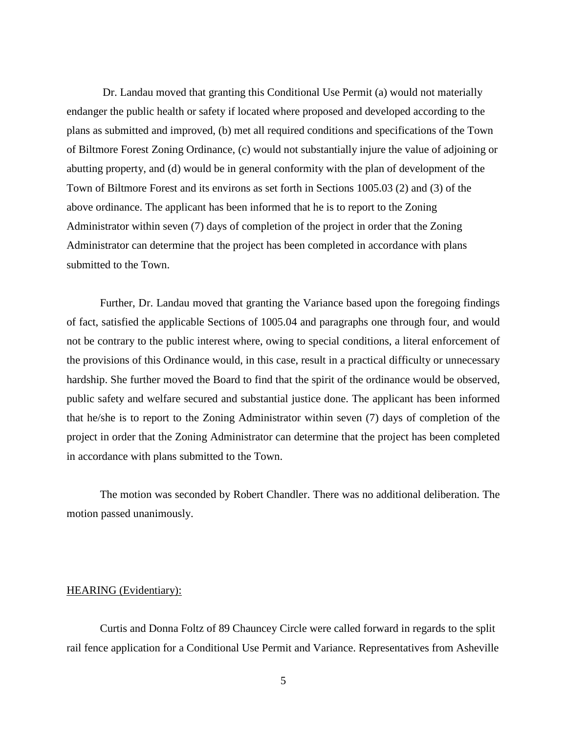Dr. Landau moved that granting this Conditional Use Permit (a) would not materially endanger the public health or safety if located where proposed and developed according to the plans as submitted and improved, (b) met all required conditions and specifications of the Town of Biltmore Forest Zoning Ordinance, (c) would not substantially injure the value of adjoining or abutting property, and (d) would be in general conformity with the plan of development of the Town of Biltmore Forest and its environs as set forth in Sections 1005.03 (2) and (3) of the above ordinance. The applicant has been informed that he is to report to the Zoning Administrator within seven (7) days of completion of the project in order that the Zoning Administrator can determine that the project has been completed in accordance with plans submitted to the Town.

Further, Dr. Landau moved that granting the Variance based upon the foregoing findings of fact, satisfied the applicable Sections of 1005.04 and paragraphs one through four, and would not be contrary to the public interest where, owing to special conditions, a literal enforcement of the provisions of this Ordinance would, in this case, result in a practical difficulty or unnecessary hardship. She further moved the Board to find that the spirit of the ordinance would be observed, public safety and welfare secured and substantial justice done. The applicant has been informed that he/she is to report to the Zoning Administrator within seven (7) days of completion of the project in order that the Zoning Administrator can determine that the project has been completed in accordance with plans submitted to the Town.

The motion was seconded by Robert Chandler. There was no additional deliberation. The motion passed unanimously.

## HEARING (Evidentiary):

Curtis and Donna Foltz of 89 Chauncey Circle were called forward in regards to the split rail fence application for a Conditional Use Permit and Variance. Representatives from Asheville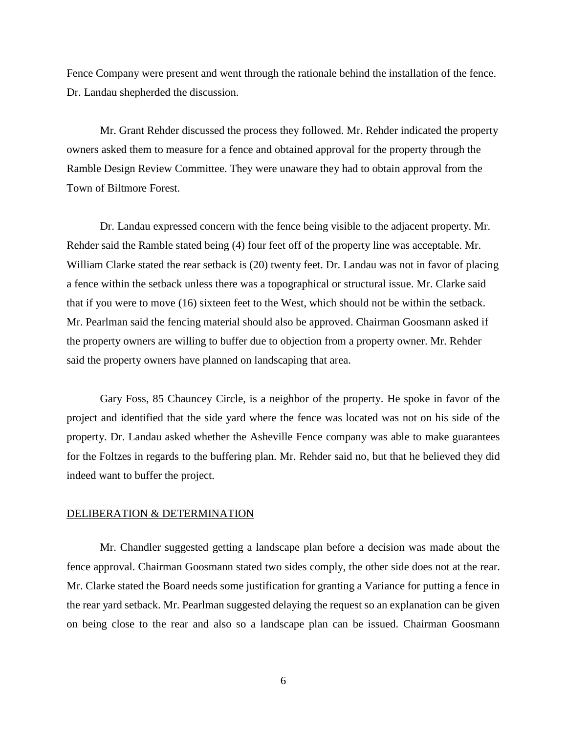Fence Company were present and went through the rationale behind the installation of the fence. Dr. Landau shepherded the discussion.

Mr. Grant Rehder discussed the process they followed. Mr. Rehder indicated the property owners asked them to measure for a fence and obtained approval for the property through the Ramble Design Review Committee. They were unaware they had to obtain approval from the Town of Biltmore Forest.

Dr. Landau expressed concern with the fence being visible to the adjacent property. Mr. Rehder said the Ramble stated being (4) four feet off of the property line was acceptable. Mr. William Clarke stated the rear setback is (20) twenty feet. Dr. Landau was not in favor of placing a fence within the setback unless there was a topographical or structural issue. Mr. Clarke said that if you were to move (16) sixteen feet to the West, which should not be within the setback. Mr. Pearlman said the fencing material should also be approved. Chairman Goosmann asked if the property owners are willing to buffer due to objection from a property owner. Mr. Rehder said the property owners have planned on landscaping that area.

Gary Foss, 85 Chauncey Circle, is a neighbor of the property. He spoke in favor of the project and identified that the side yard where the fence was located was not on his side of the property. Dr. Landau asked whether the Asheville Fence company was able to make guarantees for the Foltzes in regards to the buffering plan. Mr. Rehder said no, but that he believed they did indeed want to buffer the project.

# DELIBERATION & DETERMINATION

Mr. Chandler suggested getting a landscape plan before a decision was made about the fence approval. Chairman Goosmann stated two sides comply, the other side does not at the rear. Mr. Clarke stated the Board needs some justification for granting a Variance for putting a fence in the rear yard setback. Mr. Pearlman suggested delaying the request so an explanation can be given on being close to the rear and also so a landscape plan can be issued. Chairman Goosmann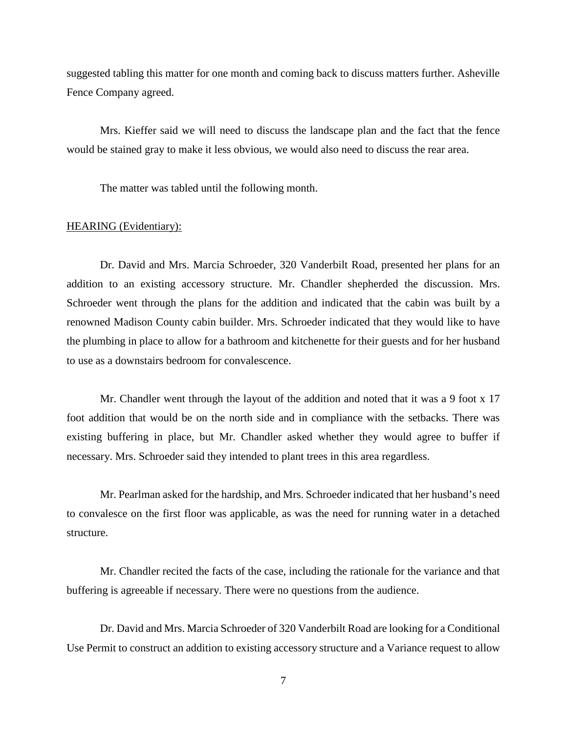suggested tabling this matter for one month and coming back to discuss matters further. Asheville Fence Company agreed.

Mrs. Kieffer said we will need to discuss the landscape plan and the fact that the fence would be stained gray to make it less obvious, we would also need to discuss the rear area.

The matter was tabled until the following month.

# HEARING (Evidentiary):

Dr. David and Mrs. Marcia Schroeder, 320 Vanderbilt Road, presented her plans for an addition to an existing accessory structure. Mr. Chandler shepherded the discussion. Mrs. Schroeder went through the plans for the addition and indicated that the cabin was built by a renowned Madison County cabin builder. Mrs. Schroeder indicated that they would like to have the plumbing in place to allow for a bathroom and kitchenette for their guests and for her husband to use as a downstairs bedroom for convalescence.

Mr. Chandler went through the layout of the addition and noted that it was a 9 foot x 17 foot addition that would be on the north side and in compliance with the setbacks. There was existing buffering in place, but Mr. Chandler asked whether they would agree to buffer if necessary. Mrs. Schroeder said they intended to plant trees in this area regardless.

Mr. Pearlman asked for the hardship, and Mrs. Schroeder indicated that her husband's need to convalesce on the first floor was applicable, as was the need for running water in a detached structure.

Mr. Chandler recited the facts of the case, including the rationale for the variance and that buffering is agreeable if necessary. There were no questions from the audience.

Dr. David and Mrs. Marcia Schroeder of 320 Vanderbilt Road are looking for a Conditional Use Permit to construct an addition to existing accessory structure and a Variance request to allow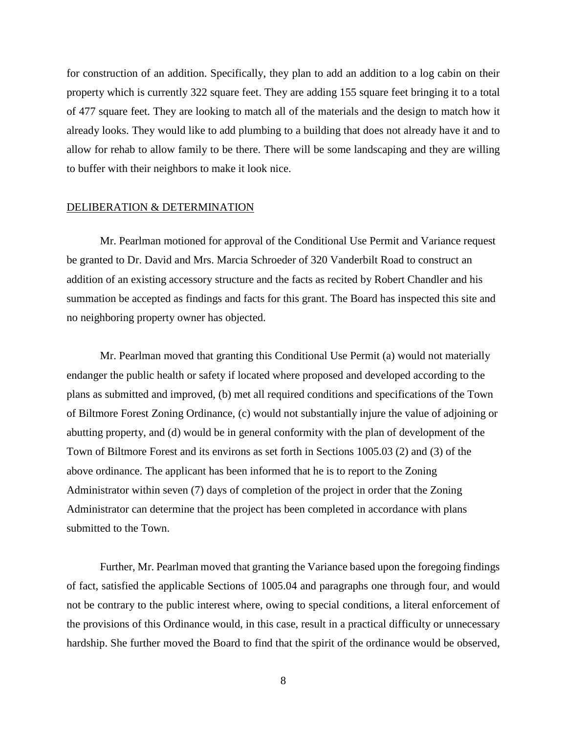for construction of an addition. Specifically, they plan to add an addition to a log cabin on their property which is currently 322 square feet. They are adding 155 square feet bringing it to a total of 477 square feet. They are looking to match all of the materials and the design to match how it already looks. They would like to add plumbing to a building that does not already have it and to allow for rehab to allow family to be there. There will be some landscaping and they are willing to buffer with their neighbors to make it look nice.

#### DELIBERATION & DETERMINATION

Mr. Pearlman motioned for approval of the Conditional Use Permit and Variance request be granted to Dr. David and Mrs. Marcia Schroeder of 320 Vanderbilt Road to construct an addition of an existing accessory structure and the facts as recited by Robert Chandler and his summation be accepted as findings and facts for this grant. The Board has inspected this site and no neighboring property owner has objected.

Mr. Pearlman moved that granting this Conditional Use Permit (a) would not materially endanger the public health or safety if located where proposed and developed according to the plans as submitted and improved, (b) met all required conditions and specifications of the Town of Biltmore Forest Zoning Ordinance, (c) would not substantially injure the value of adjoining or abutting property, and (d) would be in general conformity with the plan of development of the Town of Biltmore Forest and its environs as set forth in Sections 1005.03 (2) and (3) of the above ordinance. The applicant has been informed that he is to report to the Zoning Administrator within seven (7) days of completion of the project in order that the Zoning Administrator can determine that the project has been completed in accordance with plans submitted to the Town.

Further, Mr. Pearlman moved that granting the Variance based upon the foregoing findings of fact, satisfied the applicable Sections of 1005.04 and paragraphs one through four, and would not be contrary to the public interest where, owing to special conditions, a literal enforcement of the provisions of this Ordinance would, in this case, result in a practical difficulty or unnecessary hardship. She further moved the Board to find that the spirit of the ordinance would be observed,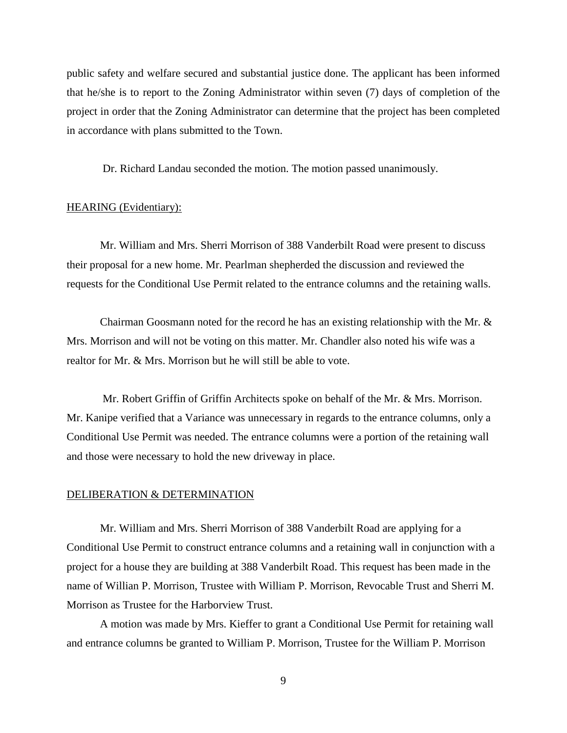public safety and welfare secured and substantial justice done. The applicant has been informed that he/she is to report to the Zoning Administrator within seven (7) days of completion of the project in order that the Zoning Administrator can determine that the project has been completed in accordance with plans submitted to the Town.

Dr. Richard Landau seconded the motion. The motion passed unanimously.

### HEARING (Evidentiary):

Mr. William and Mrs. Sherri Morrison of 388 Vanderbilt Road were present to discuss their proposal for a new home. Mr. Pearlman shepherded the discussion and reviewed the requests for the Conditional Use Permit related to the entrance columns and the retaining walls.

Chairman Goosmann noted for the record he has an existing relationship with the Mr.  $\&$ Mrs. Morrison and will not be voting on this matter. Mr. Chandler also noted his wife was a realtor for Mr. & Mrs. Morrison but he will still be able to vote.

Mr. Robert Griffin of Griffin Architects spoke on behalf of the Mr. & Mrs. Morrison. Mr. Kanipe verified that a Variance was unnecessary in regards to the entrance columns, only a Conditional Use Permit was needed. The entrance columns were a portion of the retaining wall and those were necessary to hold the new driveway in place.

## DELIBERATION & DETERMINATION

Mr. William and Mrs. Sherri Morrison of 388 Vanderbilt Road are applying for a Conditional Use Permit to construct entrance columns and a retaining wall in conjunction with a project for a house they are building at 388 Vanderbilt Road. This request has been made in the name of Willian P. Morrison, Trustee with William P. Morrison, Revocable Trust and Sherri M. Morrison as Trustee for the Harborview Trust.

A motion was made by Mrs. Kieffer to grant a Conditional Use Permit for retaining wall and entrance columns be granted to William P. Morrison, Trustee for the William P. Morrison

9